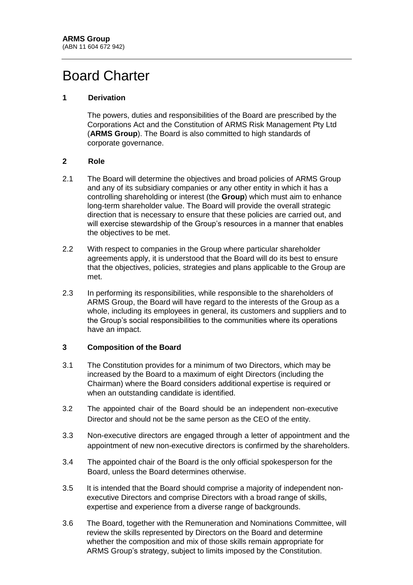# Board Charter

## **1 Derivation**

The powers, duties and responsibilities of the Board are prescribed by the Corporations Act and the Constitution of ARMS Risk Management Pty Ltd (**ARMS Group**). The Board is also committed to high standards of corporate governance.

### **2 Role**

- 2.1 The Board will determine the objectives and broad policies of ARMS Group and any of its subsidiary companies or any other entity in which it has a controlling shareholding or interest (the **Group**) which must aim to enhance long-term shareholder value. The Board will provide the overall strategic direction that is necessary to ensure that these policies are carried out, and will exercise stewardship of the Group's resources in a manner that enables the objectives to be met.
- 2.2 With respect to companies in the Group where particular shareholder agreements apply, it is understood that the Board will do its best to ensure that the objectives, policies, strategies and plans applicable to the Group are met.
- 2.3 In performing its responsibilities, while responsible to the shareholders of ARMS Group, the Board will have regard to the interests of the Group as a whole, including its employees in general, its customers and suppliers and to the Group's social responsibilities to the communities where its operations have an impact.

### **3 Composition of the Board**

- 3.1 The Constitution provides for a minimum of two Directors, which may be increased by the Board to a maximum of eight Directors (including the Chairman) where the Board considers additional expertise is required or when an outstanding candidate is identified.
- 3.2 The appointed chair of the Board should be an independent non-executive Director and should not be the same person as the CEO of the entity.
- 3.3 Non-executive directors are engaged through a letter of appointment and the appointment of new non-executive directors is confirmed by the shareholders.
- 3.4 The appointed chair of the Board is the only official spokesperson for the Board, unless the Board determines otherwise.
- 3.5 It is intended that the Board should comprise a majority of independent nonexecutive Directors and comprise Directors with a broad range of skills, expertise and experience from a diverse range of backgrounds.
- 3.6 The Board, together with the Remuneration and Nominations Committee, will review the skills represented by Directors on the Board and determine whether the composition and mix of those skills remain appropriate for ARMS Group's strategy, subject to limits imposed by the Constitution.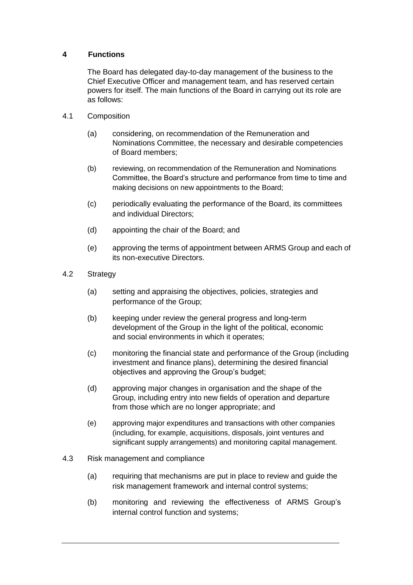## **4 Functions**

The Board has delegated day-to-day management of the business to the Chief Executive Officer and management team, and has reserved certain powers for itself. The main functions of the Board in carrying out its role are as follows:

- 4.1 Composition
	- (a) considering, on recommendation of the Remuneration and Nominations Committee, the necessary and desirable competencies of Board members;
	- (b) reviewing, on recommendation of the Remuneration and Nominations Committee, the Board's structure and performance from time to time and making decisions on new appointments to the Board;
	- (c) periodically evaluating the performance of the Board, its committees and individual Directors;
	- (d) appointing the chair of the Board; and
	- (e) approving the terms of appointment between ARMS Group and each of its non-executive Directors.
- 4.2 Strategy
	- (a) setting and appraising the objectives, policies, strategies and performance of the Group;
	- (b) keeping under review the general progress and long-term development of the Group in the light of the political, economic and social environments in which it operates;
	- (c) monitoring the financial state and performance of the Group (including investment and finance plans), determining the desired financial objectives and approving the Group's budget;
	- (d) approving major changes in organisation and the shape of the Group, including entry into new fields of operation and departure from those which are no longer appropriate; and
	- (e) approving major expenditures and transactions with other companies (including, for example, acquisitions, disposals, joint ventures and significant supply arrangements) and monitoring capital management.
- 4.3 Risk management and compliance
	- (a) requiring that mechanisms are put in place to review and guide the risk management framework and internal control systems;
	- (b) monitoring and reviewing the effectiveness of ARMS Group's internal control function and systems;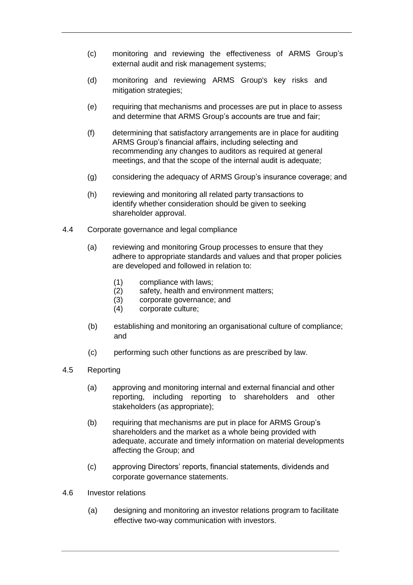- (c) monitoring and reviewing the effectiveness of ARMS Group's external audit and risk management systems;
- (d) monitoring and reviewing ARMS Group's key risks and mitigation strategies;
- (e) requiring that mechanisms and processes are put in place to assess and determine that ARMS Group's accounts are true and fair;
- (f) determining that satisfactory arrangements are in place for auditing ARMS Group's financial affairs, including selecting and recommending any changes to auditors as required at general meetings, and that the scope of the internal audit is adequate;
- (g) considering the adequacy of ARMS Group's insurance coverage; and
- (h) reviewing and monitoring all related party transactions to identify whether consideration should be given to seeking shareholder approval.
- 4.4 Corporate governance and legal compliance
	- (a) reviewing and monitoring Group processes to ensure that they adhere to appropriate standards and values and that proper policies are developed and followed in relation to:
		- (1) compliance with laws;
		- (2) safety, health and environment matters;<br>(3) corporate governance; and
		- corporate governance; and
		- (4) corporate culture;
	- (b) establishing and monitoring an organisational culture of compliance; and
	- (c) performing such other functions as are prescribed by law.
- 4.5 Reporting
	- (a) approving and monitoring internal and external financial and other reporting, including reporting to shareholders and other stakeholders (as appropriate);
	- (b) requiring that mechanisms are put in place for ARMS Group's shareholders and the market as a whole being provided with adequate, accurate and timely information on material developments affecting the Group; and
	- (c) approving Directors' reports, financial statements, dividends and corporate governance statements.
- 4.6 Investor relations
	- (a) designing and monitoring an investor relations program to facilitate effective two-way communication with investors.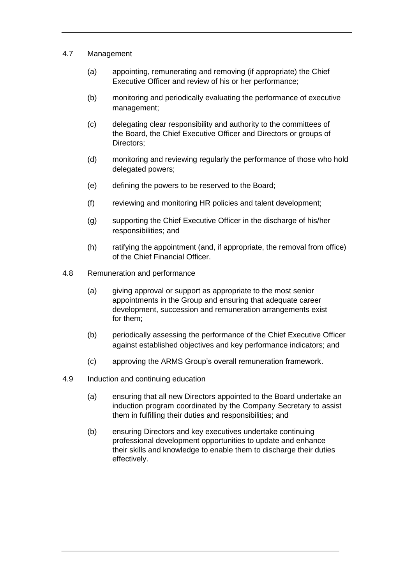- 4.7 Management
	- (a) appointing, remunerating and removing (if appropriate) the Chief Executive Officer and review of his or her performance;
	- (b) monitoring and periodically evaluating the performance of executive management;
	- (c) delegating clear responsibility and authority to the committees of the Board, the Chief Executive Officer and Directors or groups of Directors;
	- (d) monitoring and reviewing regularly the performance of those who hold delegated powers;
	- (e) defining the powers to be reserved to the Board;
	- (f) reviewing and monitoring HR policies and talent development;
	- (g) supporting the Chief Executive Officer in the discharge of his/her responsibilities; and
	- (h) ratifying the appointment (and, if appropriate, the removal from office) of the Chief Financial Officer.
- 4.8 Remuneration and performance
	- (a) giving approval or support as appropriate to the most senior appointments in the Group and ensuring that adequate career development, succession and remuneration arrangements exist for them;
	- (b) periodically assessing the performance of the Chief Executive Officer against established objectives and key performance indicators; and
	- (c) approving the ARMS Group's overall remuneration framework.
- 4.9 Induction and continuing education
	- (a) ensuring that all new Directors appointed to the Board undertake an induction program coordinated by the Company Secretary to assist them in fulfilling their duties and responsibilities; and
	- (b) ensuring Directors and key executives undertake continuing professional development opportunities to update and enhance their skills and knowledge to enable them to discharge their duties effectively.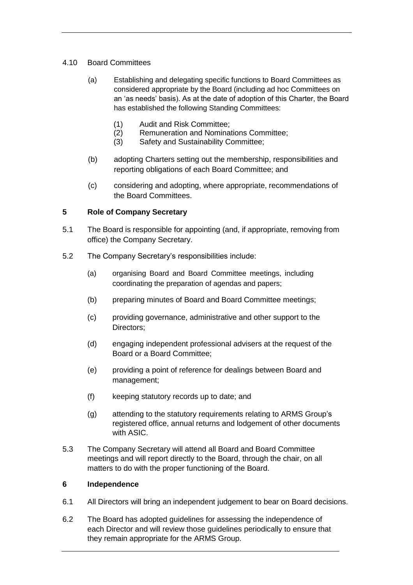## 4.10 Board Committees

- (a) Establishing and delegating specific functions to Board Committees as considered appropriate by the Board (including ad hoc Committees on an 'as needs' basis). As at the date of adoption of this Charter, the Board has established the following Standing Committees:
	-
	- (1) Audit and Risk Committee; Remuneration and Nominations Committee;
	- (3) Safety and Sustainability Committee;
- (b) adopting Charters setting out the membership, responsibilities and reporting obligations of each Board Committee; and
- (c) considering and adopting, where appropriate, recommendations of the Board Committees.

## **5 Role of Company Secretary**

- 5.1 The Board is responsible for appointing (and, if appropriate, removing from office) the Company Secretary.
- 5.2 The Company Secretary's responsibilities include:
	- (a) organising Board and Board Committee meetings, including coordinating the preparation of agendas and papers;
	- (b) preparing minutes of Board and Board Committee meetings;
	- (c) providing governance, administrative and other support to the Directors;
	- (d) engaging independent professional advisers at the request of the Board or a Board Committee;
	- (e) providing a point of reference for dealings between Board and management;
	- (f) keeping statutory records up to date; and
	- (g) attending to the statutory requirements relating to ARMS Group's registered office, annual returns and lodgement of other documents with ASIC.
- 5.3 The Company Secretary will attend all Board and Board Committee meetings and will report directly to the Board, through the chair, on all matters to do with the proper functioning of the Board.

### **6 Independence**

- 6.1 All Directors will bring an independent judgement to bear on Board decisions.
- 6.2 The Board has adopted guidelines for assessing the independence of each Director and will review those guidelines periodically to ensure that they remain appropriate for the ARMS Group.